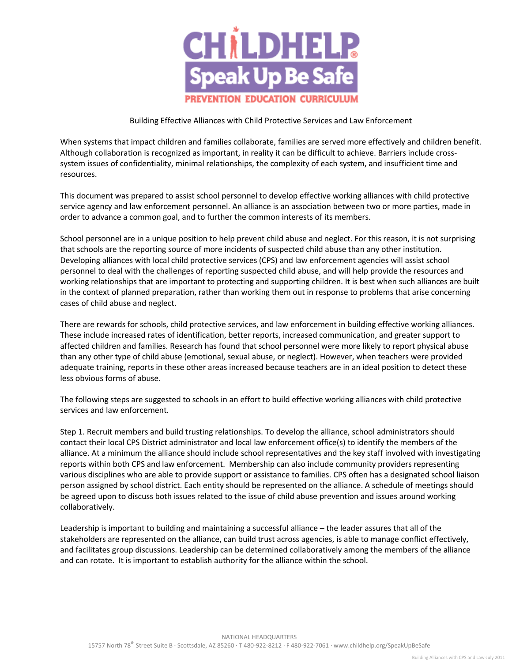

## Building Effective Alliances with Child Protective Services and Law Enforcement

When systems that impact children and families collaborate, families are served more effectively and children benefit. Although collaboration is recognized as important, in reality it can be difficult to achieve. Barriers include crosssystem issues of confidentiality, minimal relationships, the complexity of each system, and insufficient time and resources.

This document was prepared to assist school personnel to develop effective working alliances with child protective service agency and law enforcement personnel. An alliance is an association between two or more parties, made in order to advance a common goal, and to further the common interests of its members.

School personnel are in a unique position to help prevent child abuse and neglect. For this reason, it is not surprising that schools are the reporting source of more incidents of suspected child abuse than any other institution. Developing alliances with local child protective services (CPS) and law enforcement agencies will assist school personnel to deal with the challenges of reporting suspected child abuse, and will help provide the resources and working relationships that are important to protecting and supporting children. It is best when such alliances are built in the context of planned preparation, rather than working them out in response to problems that arise concerning cases of child abuse and neglect.

There are rewards for schools, child protective services, and law enforcement in building effective working alliances. These include increased rates of identification, better reports, increased communication, and greater support to affected children and families. Research has found that school personnel were more likely to report physical abuse than any other type of child abuse (emotional, sexual abuse, or neglect). However, when teachers were provided adequate training, reports in these other areas increased because teachers are in an ideal position to detect these less obvious forms of abuse.

The following steps are suggested to schools in an effort to build effective working alliances with child protective services and law enforcement.

Step 1. Recruit members and build trusting relationships. To develop the alliance, school administrators should contact their local CPS District administrator and local law enforcement office(s) to identify the members of the alliance. At a minimum the alliance should include school representatives and the key staff involved with investigating reports within both CPS and law enforcement. Membership can also include community providers representing various disciplines who are able to provide support or assistance to families. CPS often has a designated school liaison person assigned by school district. Each entity should be represented on the alliance. A schedule of meetings should be agreed upon to discuss both issues related to the issue of child abuse prevention and issues around working collaboratively.

Leadership is important to building and maintaining a successful alliance – the leader assures that all of the stakeholders are represented on the alliance, can build trust across agencies, is able to manage conflict effectively, and facilitates group discussions. Leadership can be determined collaboratively among the members of the alliance and can rotate. It is important to establish authority for the alliance within the school.